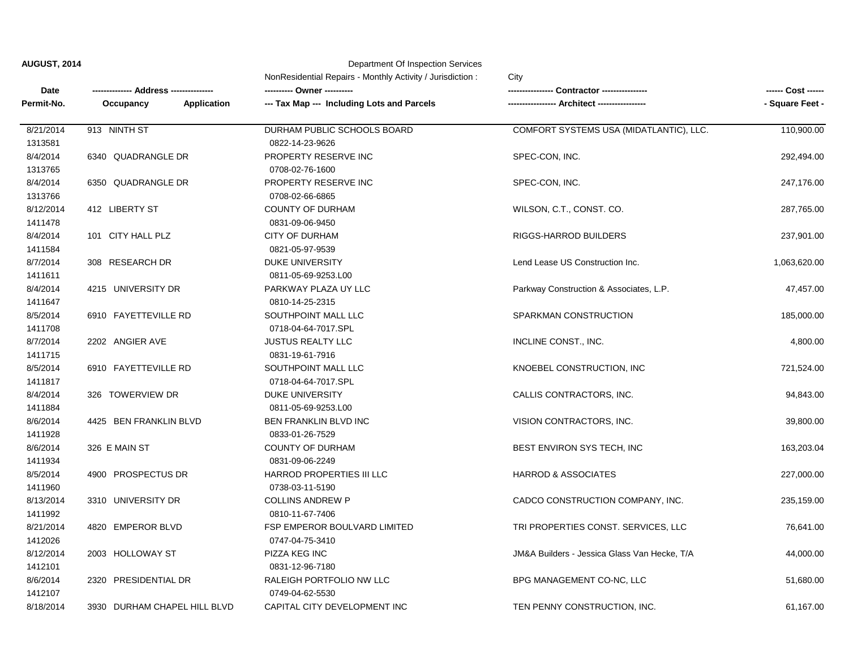|  | <b>AUGUST, 2014</b> |  |
|--|---------------------|--|
|  |                     |  |

## **Department Of Inspection Services**

|            |                                 | NonResidential Repairs - Monthly Activity / Jurisdiction: | City                                         |                 |
|------------|---------------------------------|-----------------------------------------------------------|----------------------------------------------|-----------------|
| Date       | - Address -----                 |                                                           | Contractor -----                             |                 |
| Permit-No. | Occupancy<br><b>Application</b> | --- Tax Map --- Including Lots and Parcels                |                                              | - Square Feet - |
| 8/21/2014  | 913 NINTH ST                    | DURHAM PUBLIC SCHOOLS BOARD                               | COMFORT SYSTEMS USA (MIDATLANTIC), LLC.      | 110,900.00      |
| 1313581    |                                 | 0822-14-23-9626                                           |                                              |                 |
| 8/4/2014   | 6340 QUADRANGLE DR              | PROPERTY RESERVE INC                                      | SPEC-CON, INC.                               | 292,494.00      |
| 1313765    |                                 | 0708-02-76-1600                                           |                                              |                 |
| 8/4/2014   | 6350 QUADRANGLE DR              | PROPERTY RESERVE INC                                      | SPEC-CON, INC.                               | 247,176.00      |
| 1313766    |                                 | 0708-02-66-6865                                           |                                              |                 |
| 8/12/2014  | 412 LIBERTY ST                  | <b>COUNTY OF DURHAM</b>                                   | WILSON, C.T., CONST. CO.                     | 287,765.00      |
| 1411478    |                                 | 0831-09-06-9450                                           |                                              |                 |
| 8/4/2014   | 101 CITY HALL PLZ               | <b>CITY OF DURHAM</b>                                     | RIGGS-HARROD BUILDERS                        | 237,901.00      |
| 1411584    |                                 | 0821-05-97-9539                                           |                                              |                 |
| 8/7/2014   | 308 RESEARCH DR                 | <b>DUKE UNIVERSITY</b>                                    | Lend Lease US Construction Inc.              | 1,063,620.00    |
| 1411611    |                                 | 0811-05-69-9253.L00                                       |                                              |                 |
| 8/4/2014   | 4215 UNIVERSITY DR              | PARKWAY PLAZA UY LLC                                      | Parkway Construction & Associates, L.P.      | 47,457.00       |
| 1411647    |                                 | 0810-14-25-2315                                           |                                              |                 |
| 8/5/2014   | 6910 FAYETTEVILLE RD            | SOUTHPOINT MALL LLC                                       | SPARKMAN CONSTRUCTION                        | 185,000.00      |
| 1411708    |                                 | 0718-04-64-7017.SPL                                       |                                              |                 |
| 8/7/2014   | 2202 ANGIER AVE                 | <b>JUSTUS REALTY LLC</b>                                  | INCLINE CONST., INC.                         | 4,800.00        |
| 1411715    |                                 | 0831-19-61-7916                                           |                                              |                 |
| 8/5/2014   | 6910 FAYETTEVILLE RD            | SOUTHPOINT MALL LLC                                       | KNOEBEL CONSTRUCTION, INC                    | 721,524.00      |
| 1411817    |                                 | 0718-04-64-7017.SPL                                       |                                              |                 |
| 8/4/2014   | 326 TOWERVIEW DR                | <b>DUKE UNIVERSITY</b>                                    | CALLIS CONTRACTORS, INC.                     | 94,843.00       |
| 1411884    |                                 | 0811-05-69-9253.L00                                       |                                              |                 |
| 8/6/2014   | 4425 BEN FRANKLIN BLVD          | BEN FRANKLIN BLVD INC                                     | VISION CONTRACTORS, INC.                     | 39,800.00       |
| 1411928    |                                 | 0833-01-26-7529                                           |                                              |                 |
| 8/6/2014   | 326 E MAIN ST                   | <b>COUNTY OF DURHAM</b>                                   | BEST ENVIRON SYS TECH, INC                   | 163,203.04      |
| 1411934    |                                 | 0831-09-06-2249                                           |                                              |                 |
| 8/5/2014   | 4900 PROSPECTUS DR              | HARROD PROPERTIES III LLC                                 | <b>HARROD &amp; ASSOCIATES</b>               | 227,000.00      |
| 1411960    |                                 | 0738-03-11-5190                                           |                                              |                 |
| 8/13/2014  | 3310 UNIVERSITY DR              | <b>COLLINS ANDREW P</b>                                   | CADCO CONSTRUCTION COMPANY, INC.             | 235,159.00      |
| 1411992    |                                 | 0810-11-67-7406                                           |                                              |                 |
| 8/21/2014  | 4820 EMPEROR BLVD               | FSP EMPEROR BOULVARD LIMITED                              | TRI PROPERTIES CONST. SERVICES, LLC          | 76,641.00       |
| 1412026    |                                 | 0747-04-75-3410                                           |                                              |                 |
| 8/12/2014  | 2003 HOLLOWAY ST                | PIZZA KEG INC                                             | JM&A Builders - Jessica Glass Van Hecke, T/A | 44,000.00       |
| 1412101    |                                 | 0831-12-96-7180                                           |                                              |                 |
| 8/6/2014   | 2320 PRESIDENTIAL DR            | RALEIGH PORTFOLIO NW LLC                                  | BPG MANAGEMENT CO-NC, LLC                    | 51,680.00       |
| 1412107    |                                 | 0749-04-62-5530                                           |                                              |                 |
| 8/18/2014  | 3930 DURHAM CHAPEL HILL BLVD    | CAPITAL CITY DEVELOPMENT INC                              | TEN PENNY CONSTRUCTION, INC.                 | 61,167.00       |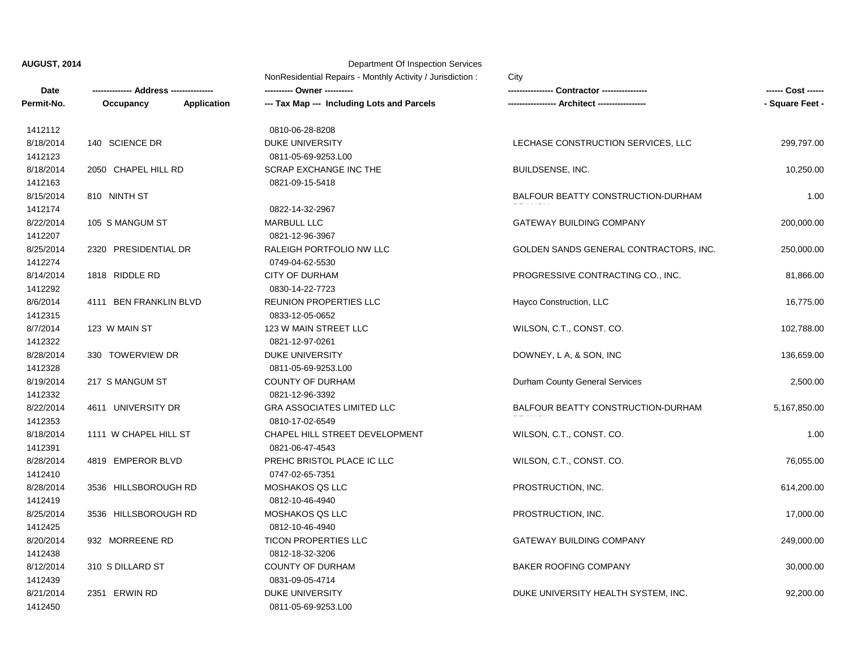**Date -------------- Address --------------- ---------- Owner ---------- ---------------- Contractor ---------------- ------ Cost ------ Permit-No. Occupancy Application --- Tax Map --- Including Lots and Parcels ----------------- Architect ----------------- - Square Feet - AUGUST, 2014** Department Of Inspection Services NonResidential Repairs - Monthly Activity / Jurisdiction : City 8/25/2014 3536 HILLSBOROUGH RD MOSHAKOS QS LLC THE PROSTRUCTION, INC. THE PROSTRUCTION ASSAULT AT,000.00 8/28/2014 3536 HILLSBOROUGH RD MOSHAKOS QS LLC THE PROSTRUCTION, INC. CONTROLLED B14,200.00 1412419 0812-10-46-4940 1412410 0747-02-65-7351 8/28/2014 4819 EMPEROR BLVD PREHC BRISTOL PLACE IC LLC WILSON, C.T., CONST. CO. 76,055.00 8/18/2014 1111 W CHAPEL HILL ST CHAPEL HILL STREET DEVELOPMENT WILSON, C.T., CONST. CO. 1.00 1412391 0821-06-47-4543 1412353 0810-17-02-6549 8/22/2014 4611 UNIVERSITY DR GRA ASSOCIATES LIMITED LLC BALFOUR BEATTY CONSTRUCTION-DURHAM BRANCH 5,167,850.00 8/19/2014 217 S MANGUM ST COUNTY OF DURHAM Durham County General Services 20000 2,500.00 1412332 0821-12-96-3392 1412328 0811-05-69-9253.L00 8/28/2014 330 TOWERVIEW DR DUKE UNIVERSITY DESCRIPTION DOWNEY, L.A, & SON, INC 136,659.00 8/7/2014 123 W MAIN ST 102,788.00 123 W MAIN STREET LLC WILSON, C.T., CONST. CO. 102,788.00 1412322 0821-12-97-0261 1412315 0833-12-05-0652 8/6/2014 4111 BEN FRANKLIN BLVD REUNION PROPERTIES LLC Hayco Construction, LLC 16,775.00 8/14/2014 1818 RIDDLE RD CITY OF DURHAM CITY OF DURHAM PROGRESSIVE CONTRACTING CO., INC. 81,866.00 1412292 0830-14-22-7723 1412274 0749-04-62-5530 8/25/2014 2320 PRESIDENTIAL DR RALEIGH PORTFOLIO NW LLC GOLDEN SANDS GENERAL CONTRACTORS, INC. 250,000.00 8/22/2014 105 S MANGUM ST **MARBULL LLC** MARBULL LLC GATEWAY BUILDING COMPANY 200.000.00 200.000.00 1412207 0821-12-96-3967 1412174 0822-14-32-2967 8/15/2014 810 NINTH ST BALFOUR BEATTY CONSTRUCTION-DURHAM 1.00 8/18/2014 2050 CHAPEL HILL RD SCRAP EXCHANGE INC THE BUILDSENSE, INC. 2015000 BUILDSENSE, INC. 1412163 0821-09-15-5418 1412123 0811-05-69-9253.L00 8/18/2014 140 SCIENCE DR DUKE UNIVERSITY DUKE UNIVERSITY LECHASE CONSTRUCTION SERVICES, LLC 299,797.00 1412112 0810-06-28-8208

8/21/2014 2351 ERWIN RD DUKE UNIVERSITY DUKE UNIVERSITY NEALTH SYSTEM, INC. 92,200.00

8/12/2014 310 S DILLARD ST COUNTY OF DURHAM BAKER ROOFING COMPANY 30,000.00

8/20/2014 932 MORREENE RD TICON PROPERTIES LLC GATEWAY BUILDING COMPANY 249,000.00

1412450 0811-05-69-9253.L00

1412439 0831-09-05-4714

1412438 0812-18-32-3206

1412425 0812-10-46-4940